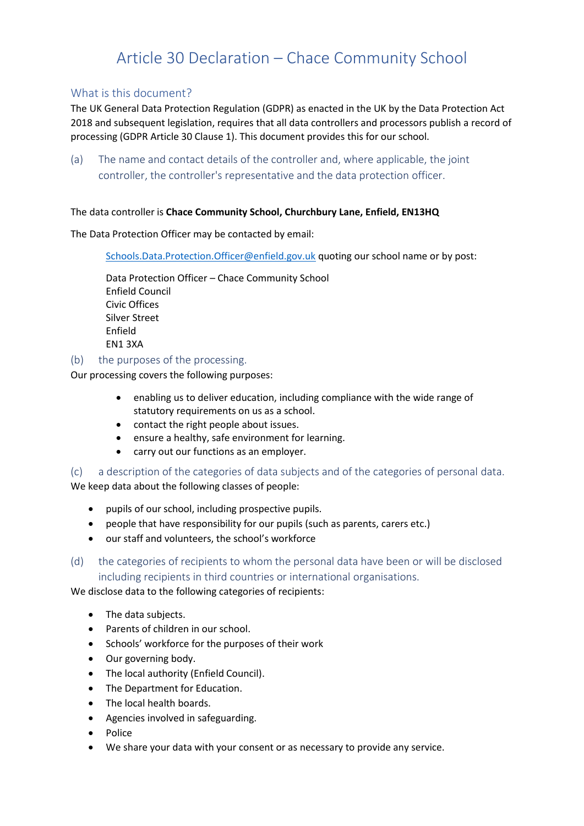# Article 30 Declaration – Chace Community School

## What is this document?

The UK General Data Protection Regulation (GDPR) as enacted in the UK by the Data Protection Act 2018 and subsequent legislation, requires that all data controllers and processors publish a record of processing (GDPR Article 30 Clause 1). This document provides this for our school.

(a) The name and contact details of the controller and, where applicable, the joint controller, the controller's representative and the data protection officer.

### The data controller is **Chace Community School, Churchbury Lane, Enfield, EN13HQ**

### The Data Protection Officer may be contacted by email:

[Schools.Data.Protection.Officer@enfield.gov.uk](mailto:Schools.Data.Protection.Officer@enfield.gov.uk) quoting our school name or by post:

Data Protection Officer – Chace Community School Enfield Council Civic Offices Silver Street Enfield EN1 3XA

(b) the purposes of the processing.

Our processing covers the following purposes:

- enabling us to deliver education, including compliance with the wide range of statutory requirements on us as a school.
- contact the right people about issues.
- ensure a healthy, safe environment for learning.
- carry out our functions as an employer.

(c) a description of the categories of data subjects and of the categories of personal data. We keep data about the following classes of people:

- pupils of our school, including prospective pupils.
- people that have responsibility for our pupils (such as parents, carers etc.)
- our staff and volunteers, the school's workforce
- (d) the categories of recipients to whom the personal data have been or will be disclosed including recipients in third countries or international organisations.

We disclose data to the following categories of recipients:

- The data subjects.
- Parents of children in our school.
- Schools' workforce for the purposes of their work
- Our governing body.
- The local authority (Enfield Council).
- The Department for Education.
- The local health boards.
- Agencies involved in safeguarding.
- Police
- We share your data with your consent or as necessary to provide any service.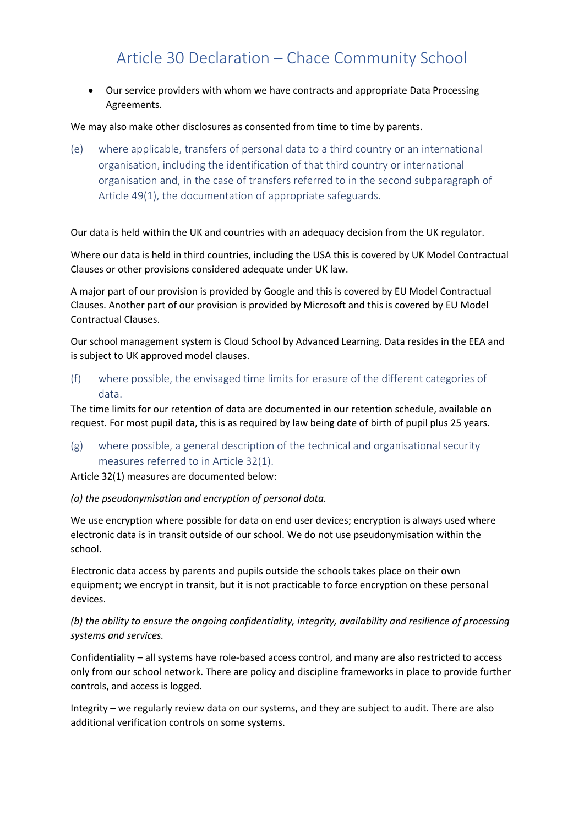# Article 30 Declaration – Chace Community School

• Our service providers with whom we have contracts and appropriate Data Processing Agreements.

#### We may also make other disclosures as consented from time to time by parents.

(e) where applicable, transfers of personal data to a third country or an international organisation, including the identification of that third country or international organisation and, in the case of transfers referred to in the second subparagraph of Article 49(1), the documentation of appropriate safeguards.

Our data is held within the UK and countries with an adequacy decision from the UK regulator.

Where our data is held in third countries, including the USA this is covered by UK Model Contractual Clauses or other provisions considered adequate under UK law.

A major part of our provision is provided by Google and this is covered by EU Model Contractual Clauses. Another part of our provision is provided by Microsoft and this is covered by EU Model Contractual Clauses.

Our school management system is Cloud School by Advanced Learning. Data resides in the EEA and is subject to UK approved model clauses.

(f) where possible, the envisaged time limits for erasure of the different categories of data.

The time limits for our retention of data are documented in our retention schedule, available on request. For most pupil data, this is as required by law being date of birth of pupil plus 25 years.

(g) where possible, a general description of the technical and organisational security measures referred to in Article 32(1).

Article 32(1) measures are documented below:

#### *(a) the pseudonymisation and encryption of personal data.*

We use encryption where possible for data on end user devices; encryption is always used where electronic data is in transit outside of our school. We do not use pseudonymisation within the school.

Electronic data access by parents and pupils outside the schools takes place on their own equipment; we encrypt in transit, but it is not practicable to force encryption on these personal devices.

## *(b) the ability to ensure the ongoing confidentiality, integrity, availability and resilience of processing systems and services.*

Confidentiality – all systems have role-based access control, and many are also restricted to access only from our school network. There are policy and discipline frameworks in place to provide further controls, and access is logged.

Integrity – we regularly review data on our systems, and they are subject to audit. There are also additional verification controls on some systems.